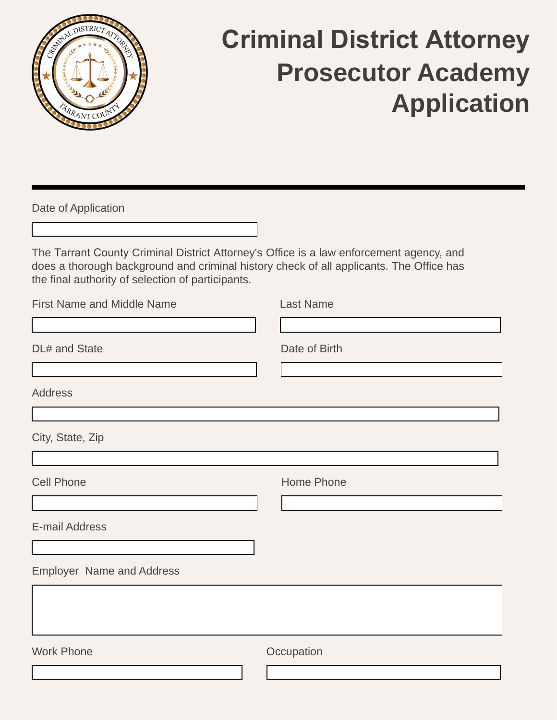

## **Criminal District Attorney Prosecutor Academy Application**

Date of Application

The Tarrant County Criminal District Attorney's Office is a law enforcement agency, and does a thorough background and criminal history check of all applicants. The Office has the final authority of selection of participants.

| <b>First Name and Middle Name</b> | Last Name     |
|-----------------------------------|---------------|
| DL# and State                     | Date of Birth |
| <b>Address</b>                    |               |
| City, State, Zip                  |               |
| <b>Cell Phone</b>                 | Home Phone    |
| <b>E-mail Address</b>             |               |
| <b>Employer Name and Address</b>  |               |
|                                   |               |
| <b>Work Phone</b>                 | Occupation    |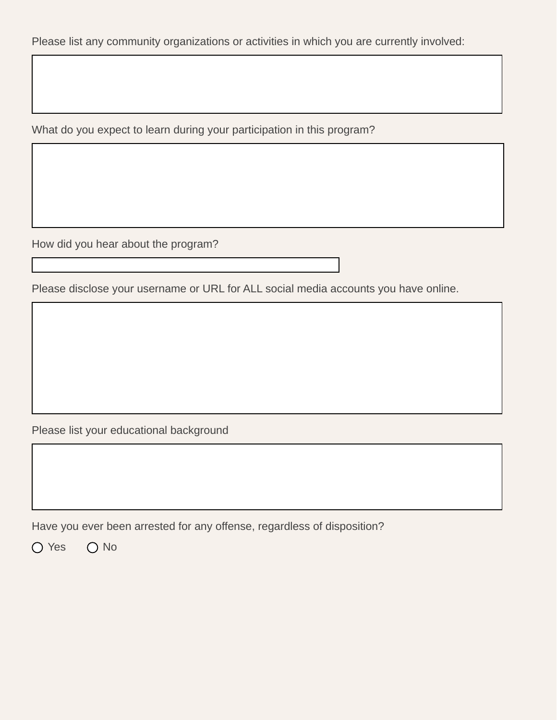Please list any community organizations or activities in which you are currently involved:

What do you expect to learn during your participation in this program?

How did you hear about the program?

Please disclose your username or URL for ALL social media accounts you have online.

Please list your educational background

Have you ever been arrested for any offense, regardless of disposition?

O Yes O No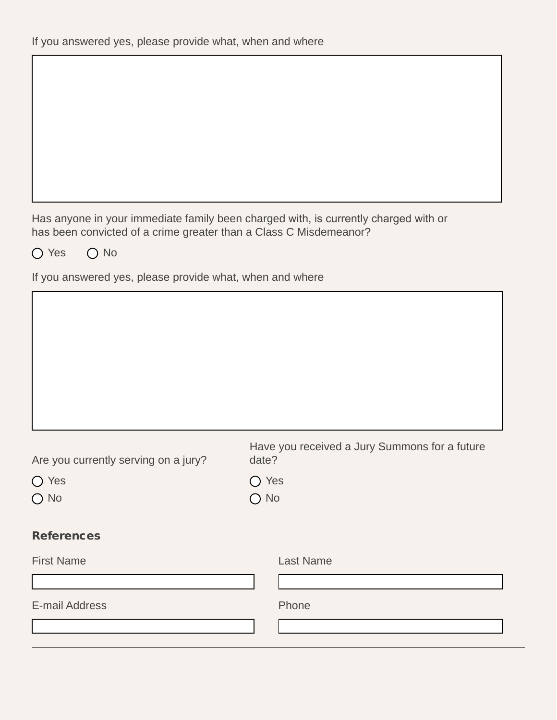Has anyone in your immediate family been charged with, is currently charged with or has been convicted of a crime greater than a Class C Misdemeanor?

O Yes O No

If you answered yes, please provide what, when and where

| Are you currently serving on a jury? | date?                           | Have you received a Jury Summons for a future |  |
|--------------------------------------|---------------------------------|-----------------------------------------------|--|
| $\bigcap$ Yes<br>$\bigcirc$ No       | $\bigcirc$ Yes<br>$\bigcirc$ No |                                               |  |
| <b>References</b>                    |                                 |                                               |  |
| <b>First Name</b>                    |                                 | <b>Last Name</b>                              |  |
|                                      |                                 |                                               |  |
| E-mail Address                       |                                 | Phone                                         |  |
|                                      |                                 |                                               |  |
|                                      |                                 |                                               |  |